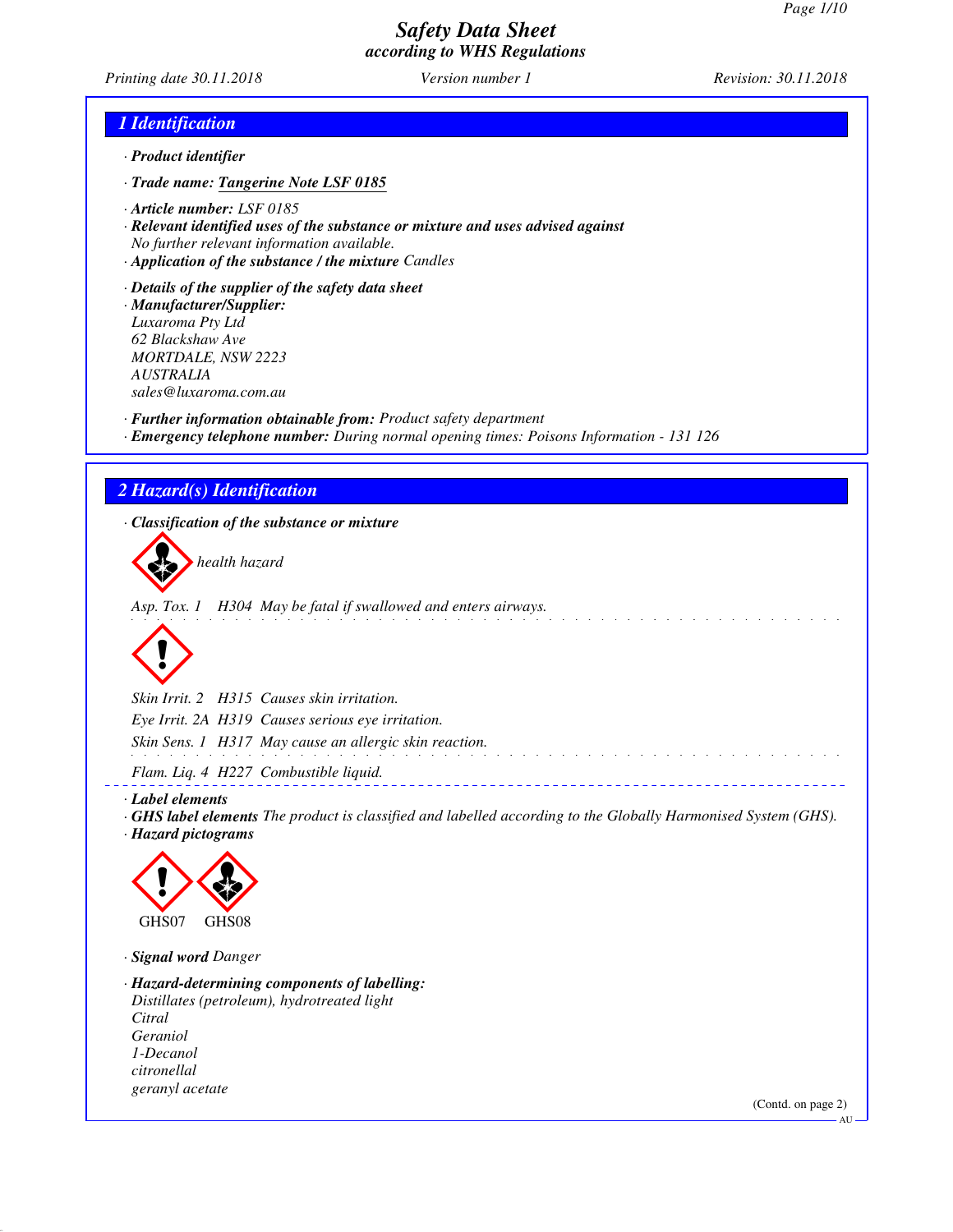*Printing date 30.11.2018 Version number 1 Revision: 30.11.2018*

#### *1 Identification*

- *· Product identifier*
- *· Trade name: Tangerine Note LSF 0185*
- *· Article number: LSF 0185*
- *· Relevant identified uses of the substance or mixture and uses advised against No further relevant information available.*
- *· Application of the substance / the mixture Candles*

*· Details of the supplier of the safety data sheet · Manufacturer/Supplier: Luxaroma Pty Ltd 62 Blackshaw Ave MORTDALE, NSW 2223 AUSTRALIA sales@luxaroma.com.au*

*· Further information obtainable from: Product safety department · Emergency telephone number: During normal opening times: Poisons Information - 131 126*

#### *2 Hazard(s) Identification*

*· Classification of the substance or mixture*

health hazard

*Asp. Tox. 1 H304 May be fatal if swallowed and enters airways.*



*Skin Irrit. 2 H315 Causes skin irritation. Eye Irrit. 2A H319 Causes serious eye irritation. Skin Sens. 1 H317 May cause an allergic skin reaction.* and a straight and

*Flam. Liq. 4 H227 Combustible liquid.*

- *· Label elements*
- *· GHS label elements The product is classified and labelled according to the Globally Harmonised System (GHS). · Hazard pictograms*

<u> - - - - - - - - - - - - -</u>



*· Signal word Danger*

*· Hazard-determining components of labelling: Distillates (petroleum), hydrotreated light Citral Geraniol 1-Decanol citronellal geranyl acetate*

(Contd. on page 2)

AU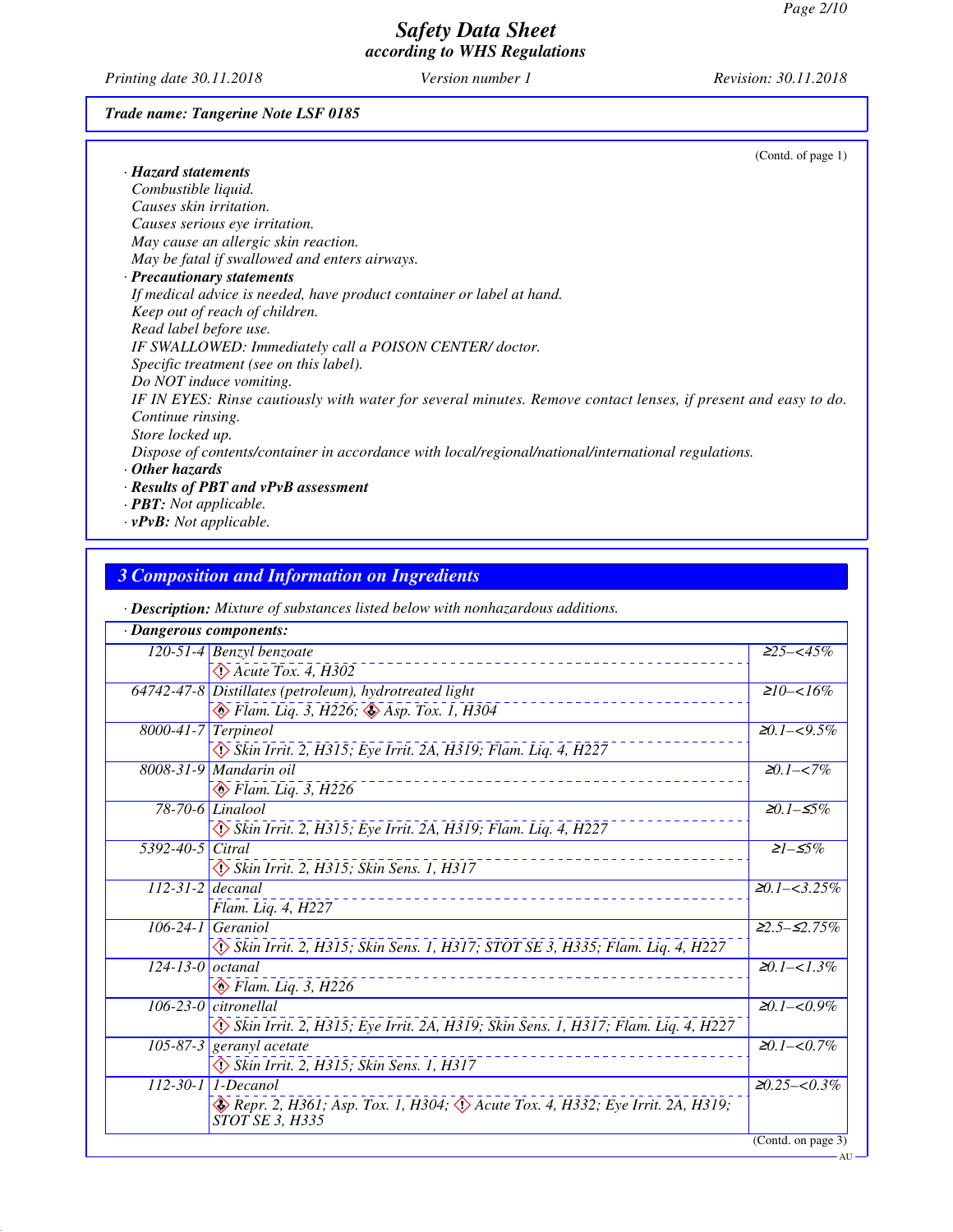AU

## *Safety Data Sheet according to WHS Regulations*

*Printing date 30.11.2018 Version number 1 Revision: 30.11.2018*

#### *Trade name: Tangerine Note LSF 0185*

| (Contd. of page 1)                                                                                             |
|----------------------------------------------------------------------------------------------------------------|
| · Hazard statements                                                                                            |
| Combustible liquid.                                                                                            |
| Causes skin irritation.                                                                                        |
| Causes serious eye irritation.                                                                                 |
| May cause an allergic skin reaction.                                                                           |
| May be fatal if swallowed and enters airways.                                                                  |
| · Precautionary statements                                                                                     |
| If medical advice is needed, have product container or label at hand.                                          |
| Keep out of reach of children.                                                                                 |
| Read label before use.                                                                                         |
| IF SWALLOWED: Immediately call a POISON CENTER/doctor.                                                         |
| Specific treatment (see on this label).                                                                        |
| Do NOT induce vomiting.                                                                                        |
| IF IN EYES: Rinse cautiously with water for several minutes. Remove contact lenses, if present and easy to do. |
| Continue rinsing.                                                                                              |
| Store locked up.                                                                                               |
| Dispose of contents/container in accordance with local/regional/national/international regulations.            |
| $\cdot$ Other hazards                                                                                          |
| · Results of PBT and vPvB assessment                                                                           |
| $\cdot$ <b>PBT:</b> Not applicable.                                                                            |

*· vPvB: Not applicable.*

## *3 Composition and Information on Ingredients*

*· Description: Mixture of substances listed below with nonhazardous additions.*

| · Dangerous components: |                                                                                                                 |                             |
|-------------------------|-----------------------------------------------------------------------------------------------------------------|-----------------------------|
|                         | $120-51-4$ Benzyl benzoate                                                                                      | $\overline{\geq}25 - <45\%$ |
|                         | $\Diamond$ Acute Tox. 4, H302                                                                                   |                             |
|                         | 64742-47-8 Distillates (petroleum), hydrotreated light                                                          | $\geq 10 - 16\%$            |
|                         | B Flam. Liq. 3, H226; & Asp. Tox. 1, H304                                                                       |                             |
| $8000-41-7$ Terpineol   |                                                                                                                 | $\geq 0.1 - 5\%$            |
|                         | Skin Irrit. 2, H315; Eye Irrit. 2A, H319; Flam. Liq. 4, H227                                                    |                             |
|                         | 8008-31-9 Mandarin oil                                                                                          | $\geq 0.1 - < 7\%$          |
|                         | $\otimes$ Flam. Liq. 3, H226                                                                                    |                             |
|                         | 78-70-6 Linalool                                                                                                | <i>≥0.1–≤5%</i>             |
|                         | Skin Irrit. 2, H315; Eye Irrit. 2A, H319; Flam. Liq. 4, H227                                                    |                             |
| 5392-40-5 Citral        |                                                                                                                 | $21 - 5\%$                  |
|                         | $\diamondsuit$ Skin Irrit. 2, H315; Skin Sens. 1, H317                                                          |                             |
| $112-31-2$ decanal      |                                                                                                                 | $\geq 0.1 - 3.25\%$         |
|                         | Flam. Liq. 4, H227                                                                                              |                             |
|                         | $106-24-1$ Geraniol                                                                                             | $22.5 - 52.75\%$            |
|                         | Skin Irrit. 2, H315; Skin Sens. 1, H317; STOT SE 3, H335; Flam. Liq. 4, H227                                    |                             |
| $124-13-0$ octanal      |                                                                                                                 | $20.1 - 51.3\%$             |
|                         | $\otimes$ Flam. Liq. 3, H226                                                                                    |                             |
|                         | $106-23-0$ citronellal                                                                                          | $\geq 0.1 - 0.9\%$          |
|                         | Skin Irrit. 2, H315; Eye Irrit. 2A, H319; Skin Sens. 1, H317; Flam. Liq. 4, H227                                |                             |
|                         | $\overline{105-87-3}$ geranyl acetate                                                                           | $\geq 0.1 - 0.7\%$          |
|                         | Skin Irrit. 2, H315; Skin Sens. 1, H317                                                                         |                             |
|                         | $112 - 30 - 1$ 1-Decanol                                                                                        | $\geq 0.25 - 0.3\%$         |
|                         | Repr. 2, H361; Asp. Tox. 1, H304; $\langle \rangle$ Acute Tox. 4, H332; Eye Irrit. 2A, H319;<br>STOT SE 3, H335 |                             |
|                         |                                                                                                                 | (Contd. on page $3$ )       |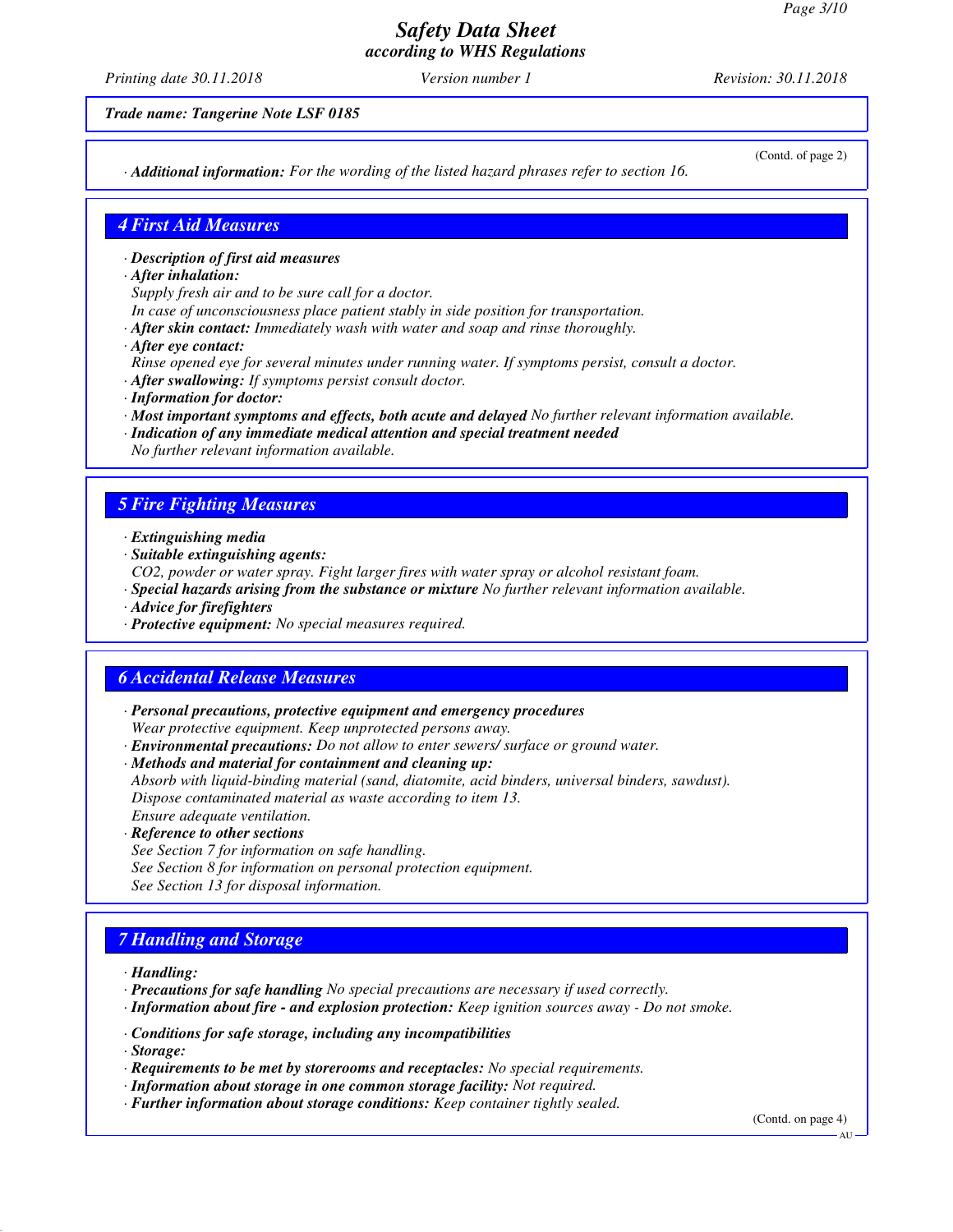*Printing date 30.11.2018 Version number 1 Revision: 30.11.2018*

*Trade name: Tangerine Note LSF 0185*

*· Additional information: For the wording of the listed hazard phrases refer to section 16.*

(Contd. of page 2)

#### *4 First Aid Measures*

- *· Description of first aid measures*
- *· After inhalation:*
- *Supply fresh air and to be sure call for a doctor.*
- *In case of unconsciousness place patient stably in side position for transportation.*
- *· After skin contact: Immediately wash with water and soap and rinse thoroughly.*
- *· After eye contact:*
- *Rinse opened eye for several minutes under running water. If symptoms persist, consult a doctor.*
- *· After swallowing: If symptoms persist consult doctor.*
- *· Information for doctor:*
- *· Most important symptoms and effects, both acute and delayed No further relevant information available.*
- *· Indication of any immediate medical attention and special treatment needed No further relevant information available.*

### *5 Fire Fighting Measures*

- *· Extinguishing media*
- *· Suitable extinguishing agents:*
- *CO2, powder or water spray. Fight larger fires with water spray or alcohol resistant foam.*
- *· Special hazards arising from the substance or mixture No further relevant information available.*
- *· Advice for firefighters*
- *· Protective equipment: No special measures required.*

#### *6 Accidental Release Measures*

- *· Personal precautions, protective equipment and emergency procedures Wear protective equipment. Keep unprotected persons away.*
- *· Environmental precautions: Do not allow to enter sewers/ surface or ground water.*
- *· Methods and material for containment and cleaning up:*

*Absorb with liquid-binding material (sand, diatomite, acid binders, universal binders, sawdust). Dispose contaminated material as waste according to item 13. Ensure adequate ventilation.*

*· Reference to other sections*

*See Section 7 for information on safe handling. See Section 8 for information on personal protection equipment. See Section 13 for disposal information.*

## *7 Handling and Storage*

- *· Handling:*
- *· Precautions for safe handling No special precautions are necessary if used correctly.*
- *· Information about fire and explosion protection: Keep ignition sources away Do not smoke.*
- *· Conditions for safe storage, including any incompatibilities*
- *· Storage:*
- *· Requirements to be met by storerooms and receptacles: No special requirements.*
- *· Information about storage in one common storage facility: Not required.*
- *· Further information about storage conditions: Keep container tightly sealed.*

(Contd. on page 4)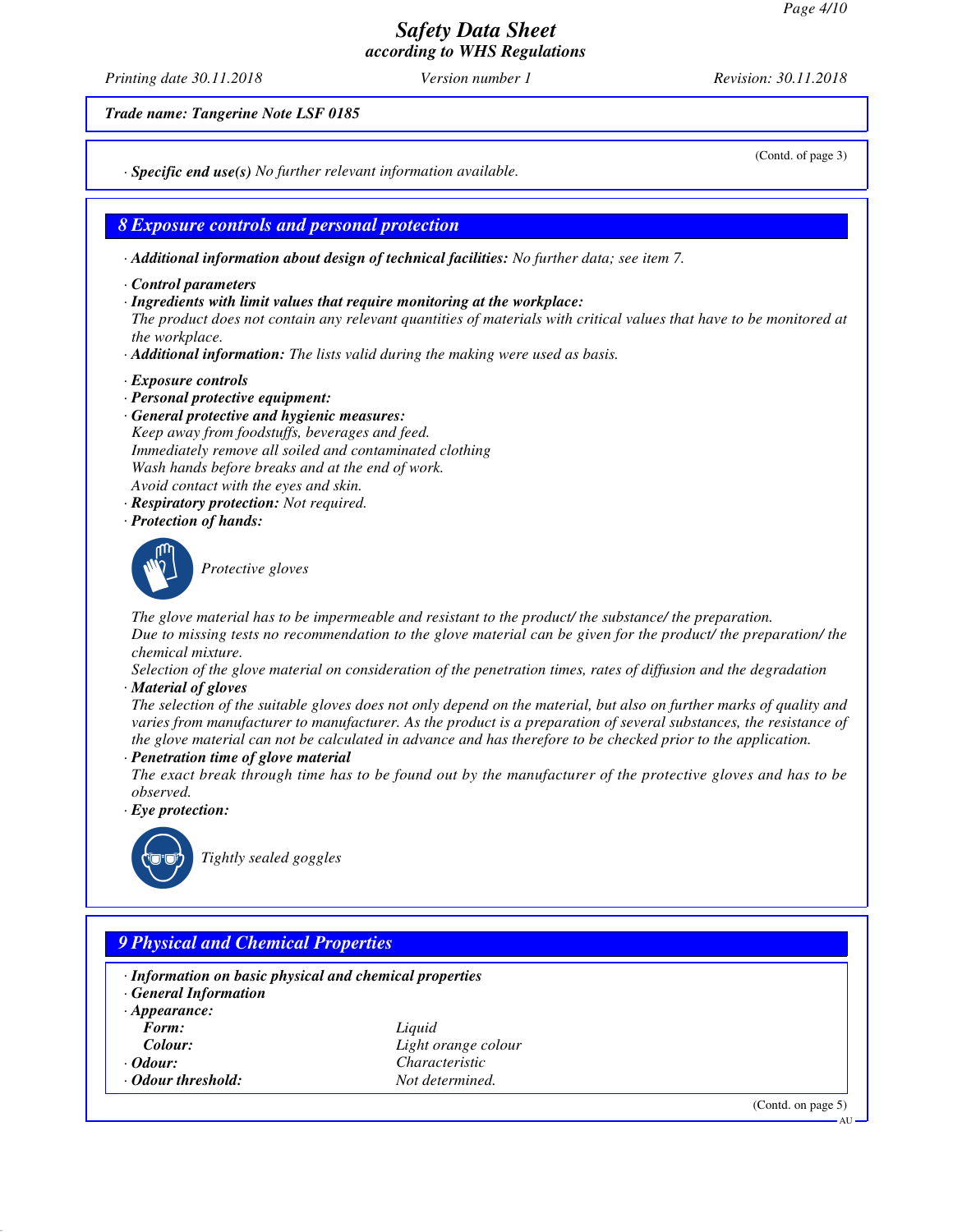*Printing date 30.11.2018 Version number 1 Revision: 30.11.2018*

*Trade name: Tangerine Note LSF 0185*

(Contd. of page 3)

*· Specific end use(s) No further relevant information available.*

*8 Exposure controls and personal protection*

*· Additional information about design of technical facilities: No further data; see item 7.*

- *· Control parameters*
- *· Ingredients with limit values that require monitoring at the workplace:*

*The product does not contain any relevant quantities of materials with critical values that have to be monitored at the workplace.*

- *· Additional information: The lists valid during the making were used as basis.*
- *· Exposure controls*
- *· Personal protective equipment:*
- *· General protective and hygienic measures: Keep away from foodstuffs, beverages and feed. Immediately remove all soiled and contaminated clothing Wash hands before breaks and at the end of work. Avoid contact with the eyes and skin.*
- *· Respiratory protection: Not required.*
- *· Protection of hands:*



\_S*Protective gloves*

*The glove material has to be impermeable and resistant to the product/ the substance/ the preparation. Due to missing tests no recommendation to the glove material can be given for the product/ the preparation/ the chemical mixture.*

- *Selection of the glove material on consideration of the penetration times, rates of diffusion and the degradation*
- *· Material of gloves*

*The selection of the suitable gloves does not only depend on the material, but also on further marks of quality and varies from manufacturer to manufacturer. As the product is a preparation of several substances, the resistance of the glove material can not be calculated in advance and has therefore to be checked prior to the application.*

*· Penetration time of glove material*

*The exact break through time has to be found out by the manufacturer of the protective gloves and has to be observed.*

*· Eye protection:*



\_R*Tightly sealed goggles*

| · Information on basic physical and chemical properties<br><b>General Information</b> |                     |  |
|---------------------------------------------------------------------------------------|---------------------|--|
| $\cdot$ Appearance:                                                                   |                     |  |
| Form:                                                                                 | Liquid              |  |
| Colour:                                                                               | Light orange colour |  |
| $\cdot$ Odour:                                                                        | Characteristic      |  |
| · Odour threshold:                                                                    | Not determined.     |  |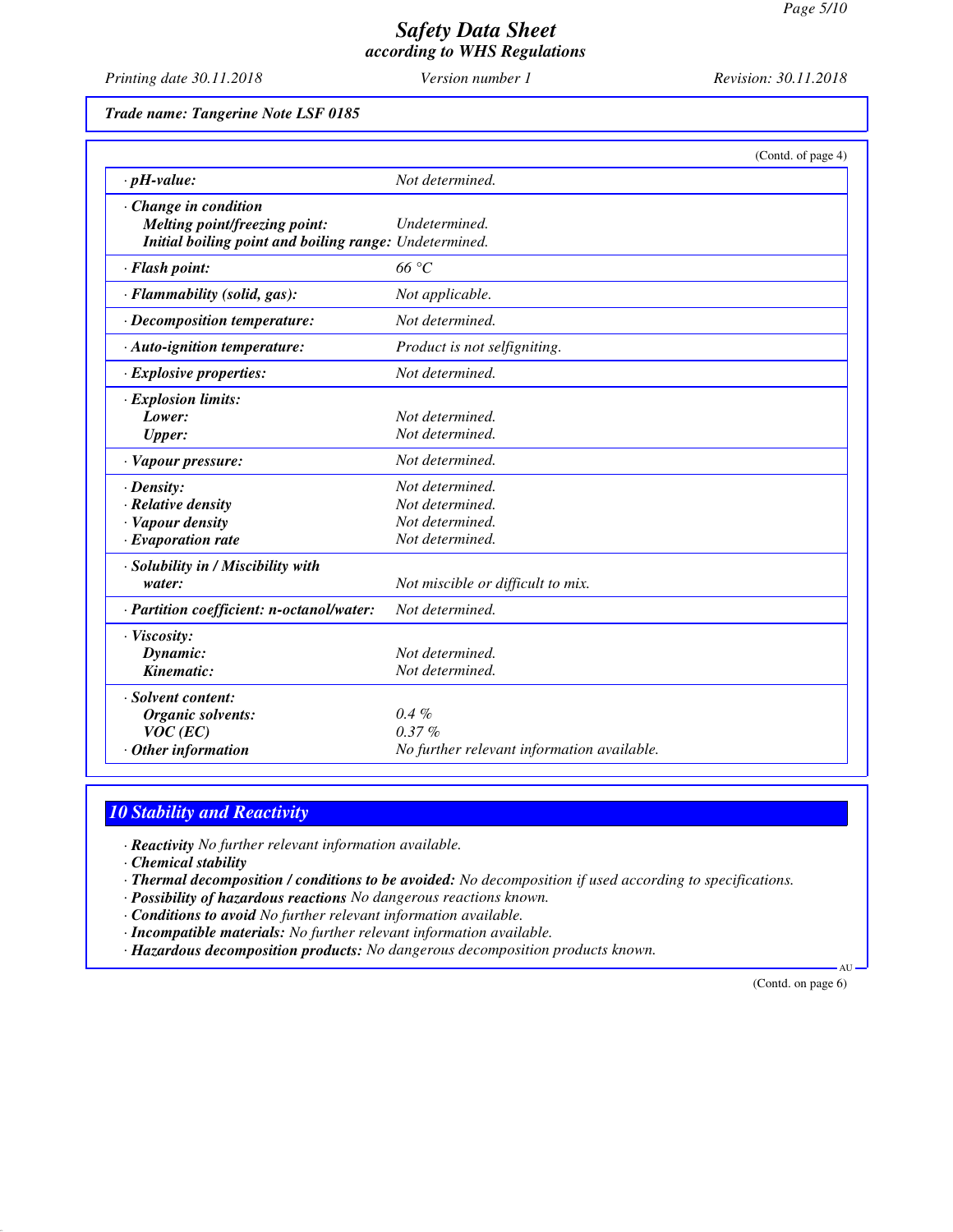*Printing date 30.11.2018 Version number 1 Revision: 30.11.2018*

*Trade name: Tangerine Note LSF 0185*

|                                                        | (Contd. of page 4)                         |
|--------------------------------------------------------|--------------------------------------------|
| $\cdot$ pH-value:                                      | Not determined.                            |
| $\cdot$ Change in condition                            |                                            |
| <b>Melting point/freezing point:</b>                   | Undetermined.                              |
| Initial boiling point and boiling range: Undetermined. |                                            |
| · Flash point:                                         | $66^{\circ}C$                              |
| · Flammability (solid, gas):                           | Not applicable.                            |
| · Decomposition temperature:                           | Not determined.                            |
| $\cdot$ Auto-ignition temperature:                     | Product is not selfigniting.               |
| · Explosive properties:                                | Not determined.                            |
| $\cdot$ Explosion limits:                              |                                            |
| Lower:                                                 | Not determined.                            |
| <b>Upper:</b>                                          | Not determined.                            |
| · Vapour pressure:                                     | Not determined.                            |
| $\cdot$ Density:                                       | Not determined.                            |
| $\cdot$ Relative density                               | Not determined.                            |
| · Vapour density                                       | Not determined.                            |
| $\cdot$ Evaporation rate                               | Not determined.                            |
| · Solubility in / Miscibility with                     |                                            |
| water:                                                 | Not miscible or difficult to mix.          |
| · Partition coefficient: n-octanol/water:              | Not determined.                            |
| · Viscosity:                                           |                                            |
| Dynamic:                                               | Not determined.                            |
| Kinematic:                                             | Not determined.                            |
| · Solvent content:                                     |                                            |
| Organic solvents:                                      | $0.4 \%$                                   |
| $VOC$ (EC)                                             | $0.37\%$                                   |
| $·$ Other information                                  | No further relevant information available. |

### *10 Stability and Reactivity*

*· Reactivity No further relevant information available.*

*· Chemical stability*

*· Thermal decomposition / conditions to be avoided: No decomposition if used according to specifications.*

*· Possibility of hazardous reactions No dangerous reactions known.*

*· Conditions to avoid No further relevant information available.*

*· Incompatible materials: No further relevant information available.*

*· Hazardous decomposition products: No dangerous decomposition products known.*

(Contd. on page 6)

AU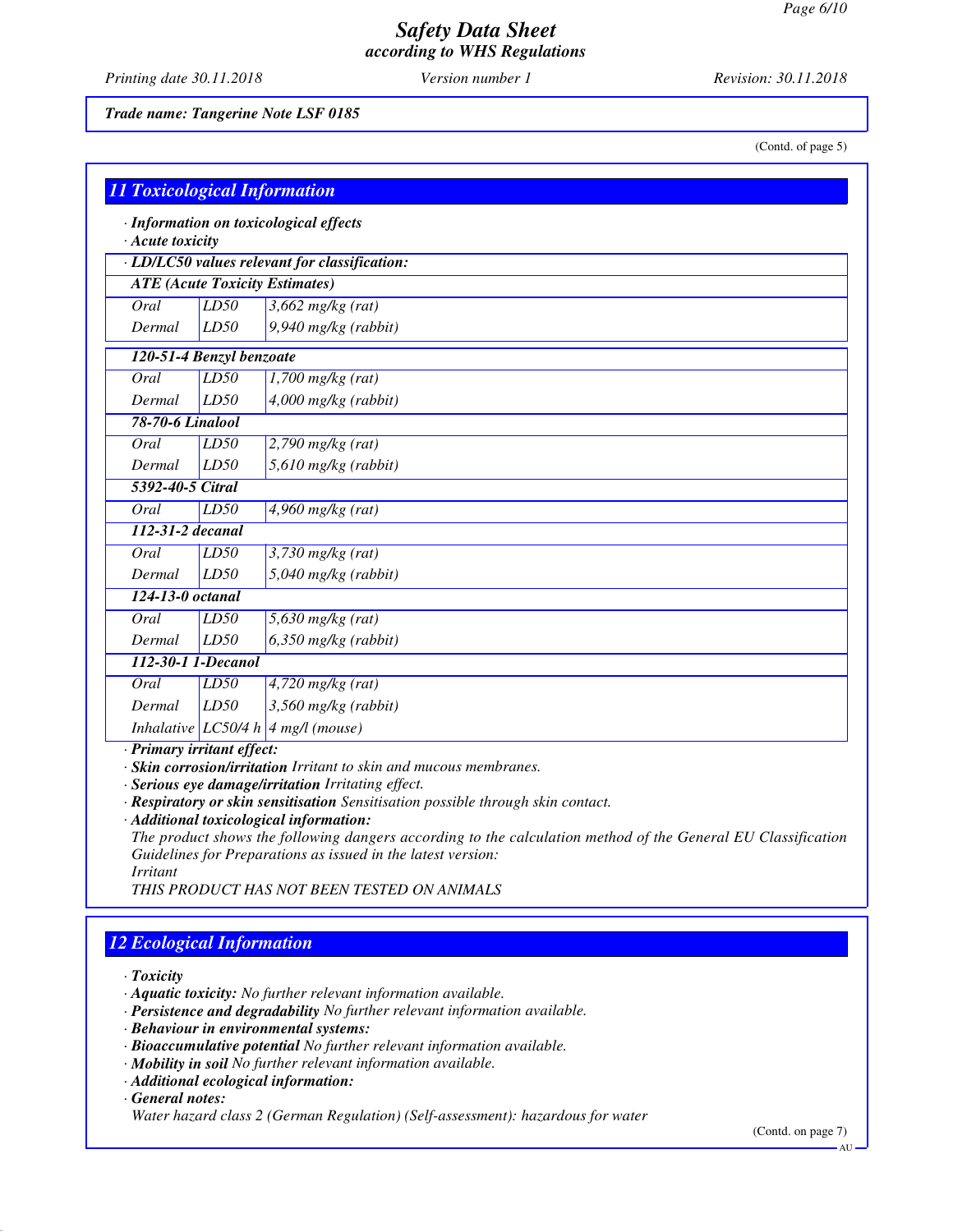*Printing date 30.11.2018 Version number 1 Revision: 30.11.2018*

*Trade name: Tangerine Note LSF 0185*

(Contd. of page 5)

| <b>11 Toxicological Information</b>   |      |                                               |
|---------------------------------------|------|-----------------------------------------------|
| $\cdot$ Acute toxicity                |      | · Information on toxicological effects        |
|                                       |      | · LD/LC50 values relevant for classification: |
| <b>ATE</b> (Acute Toxicity Estimates) |      |                                               |
| Oral                                  | LD50 | $3,662$ mg/kg (rat)                           |
| Dermal                                | LD50 | $9,940$ mg/kg (rabbit)                        |
| 120-51-4 Benzyl benzoate              |      |                                               |
| Oral                                  | LD50 | $\overline{1,700}$ mg/kg (rat)                |
| Dermal                                | LD50 | 4,000 mg/kg (rabbit)                          |
| <b>78-70-6 Linalool</b>               |      |                                               |
| Oral                                  | LD50 | $2,790$ mg/kg (rat)                           |
| Dermal                                | LD50 | 5,610 mg/kg (rabbit)                          |
| 5392-40-5 Citral                      |      |                                               |
| Oral                                  | LD50 | $4,960$ mg/kg (rat)                           |
| 112-31-2 decanal                      |      |                                               |
| Oral                                  | LD50 | $3,730$ mg/kg (rat)                           |
| Dermal                                | LD50 | 5,040 mg/kg (rabbit)                          |
| 124-13-0 octanal                      |      |                                               |
| Oral                                  | LD50 | $5,630$ mg/kg (rat)                           |
| Dermal                                | LD50 | $6,350$ mg/kg (rabbit)                        |
| 112-30-1 1-Decanol                    |      |                                               |
| Oral                                  | LD50 | $4,720$ mg/kg (rat)                           |
| Dermal                                | LD50 | 3,560 mg/kg (rabbit)                          |
|                                       |      | Inhalative LC50/4 h 4 mg/l (mouse)            |
| · Primary irritant effect:            |      |                                               |

*· Skin corrosion/irritation Irritant to skin and mucous membranes.*

*· Serious eye damage/irritation Irritating effect.*

*· Respiratory or skin sensitisation Sensitisation possible through skin contact.*

*· Additional toxicological information:*

*The product shows the following dangers according to the calculation method of the General EU Classification Guidelines for Preparations as issued in the latest version:*

*Irritant*

*THIS PRODUCT HAS NOT BEEN TESTED ON ANIMALS*

## *12 Ecological Information*

*· Toxicity*

*· Aquatic toxicity: No further relevant information available.*

- *· Persistence and degradability No further relevant information available.*
- *· Behaviour in environmental systems:*
- *· Bioaccumulative potential No further relevant information available.*
- *· Mobility in soil No further relevant information available.*
- *· Additional ecological information:*

*· General notes:*

*Water hazard class 2 (German Regulation) (Self-assessment): hazardous for water*

(Contd. on page 7)

AU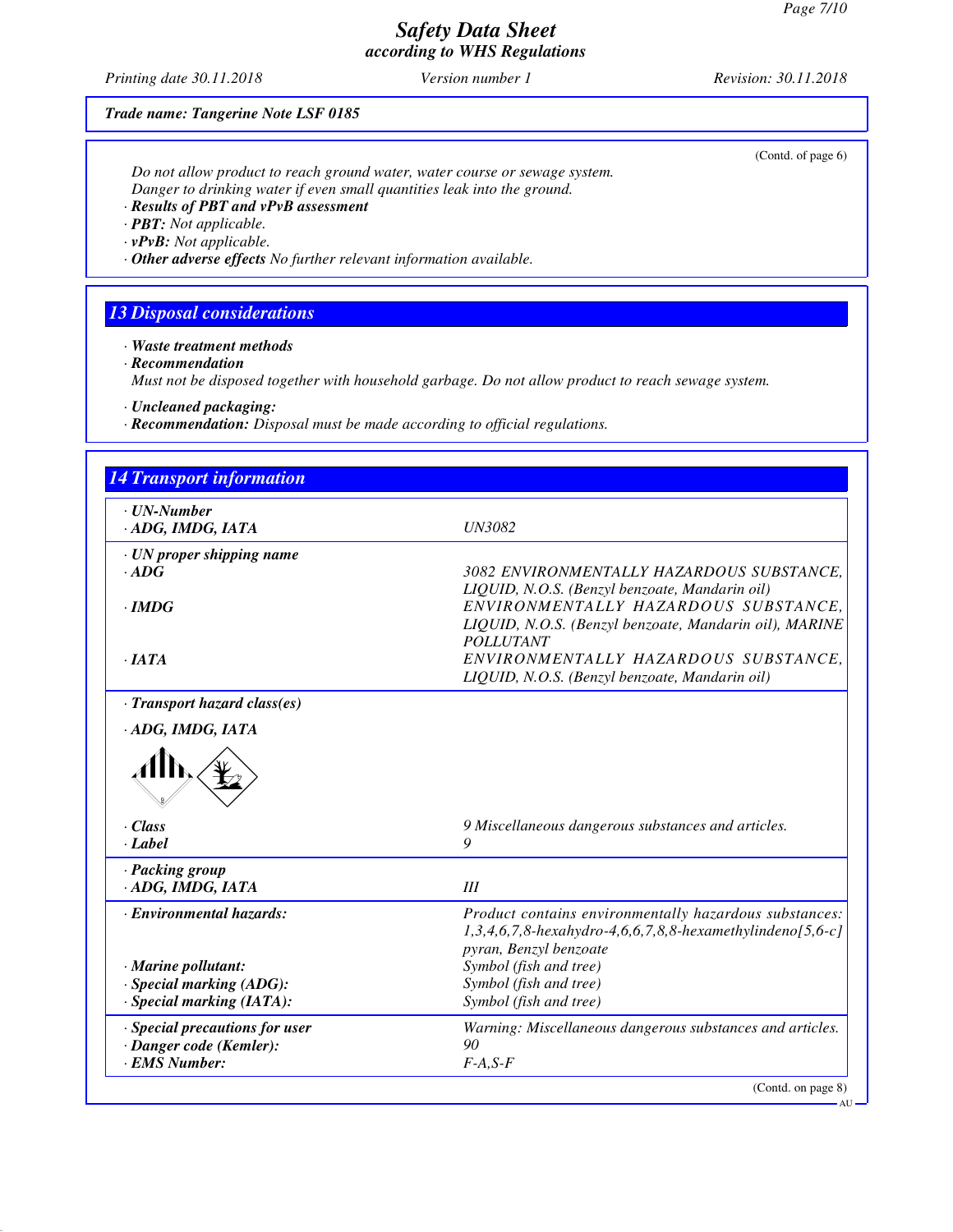*Printing date 30.11.2018 Version number 1 Revision: 30.11.2018*

(Contd. of page 6)

# *Trade name: Tangerine Note LSF 0185*

*Do not allow product to reach ground water, water course or sewage system. Danger to drinking water if even small quantities leak into the ground.*

*· Results of PBT and vPvB assessment*

*· PBT: Not applicable.*

*· vPvB: Not applicable.*

*· Other adverse effects No further relevant information available.*

### *13 Disposal considerations*

*· Waste treatment methods*

*· Recommendation*

*Must not be disposed together with household garbage. Do not allow product to reach sewage system.*

*· Uncleaned packaging:*

*· Recommendation: Disposal must be made according to official regulations.*

| <b>14 Transport information</b>                |                                                                                                                                            |
|------------------------------------------------|--------------------------------------------------------------------------------------------------------------------------------------------|
| $\cdot$ UN-Number<br>ADG, IMDG, IATA           | <b>UN3082</b>                                                                                                                              |
| $\cdot$ UN proper shipping name<br>$\cdot$ ADG | 3082 ENVIRONMENTALLY HAZARDOUS SUBSTANCE.<br>LIQUID, N.O.S. (Benzyl benzoate, Mandarin oil)                                                |
| $\cdot$ IMDG                                   | ENVIRONMENTALLY HAZARDOUS SUBSTANCE,<br>LIQUID, N.O.S. (Benzyl benzoate, Mandarin oil), MARINE                                             |
| $\cdot$ JATA                                   | <b>POLLUTANT</b><br>ENVIRONMENTALLY HAZARDOUS SUBSTANCE,<br>LIQUID, N.O.S. (Benzyl benzoate, Mandarin oil)                                 |
| · Transport hazard class(es)                   |                                                                                                                                            |
| $\cdot Class$<br>$\cdot$ <i>Label</i>          | 9 Miscellaneous dangerous substances and articles.<br>9                                                                                    |
|                                                |                                                                                                                                            |
|                                                |                                                                                                                                            |
| · Packing group<br>· ADG, IMDG, IATA           | III                                                                                                                                        |
| · Environmental hazards:                       | pyran, Benzyl benzoate                                                                                                                     |
| · Marine pollutant:                            | Symbol (fish and tree)                                                                                                                     |
| · Special marking (ADG):                       | Symbol (fish and tree)                                                                                                                     |
| $\cdot$ Special marking (IATA):                | Symbol (fish and tree)                                                                                                                     |
| · Special precautions for user                 | Warning: Miscellaneous dangerous substances and articles.                                                                                  |
| · Danger code (Kemler):<br>· EMS Number:       | Product contains environmentally hazardous substances:<br>$1,3,4,6,7,8$ -hexahydro-4,6,6,7,8,8-hexamethylindeno[5,6-c]<br>90<br>$F-A, S-F$ |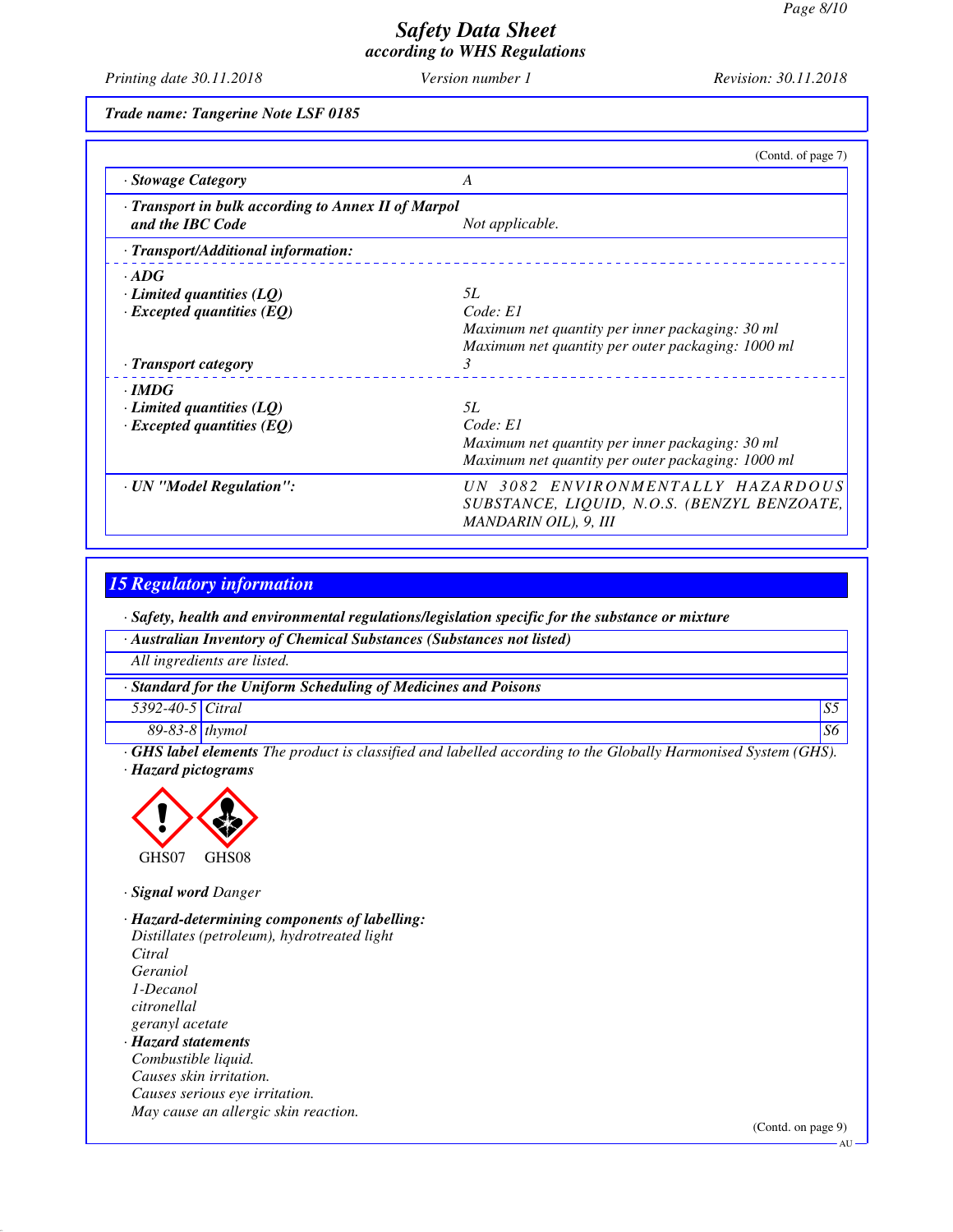*Printing date 30.11.2018 Version number 1 Revision: 30.11.2018*

*Trade name: Tangerine Note LSF 0185*

|                                                                         | (Contd. of page 7)                                                                                        |
|-------------------------------------------------------------------------|-----------------------------------------------------------------------------------------------------------|
| · Stowage Category                                                      | A                                                                                                         |
| · Transport in bulk according to Annex II of Marpol<br>and the IBC Code | Not applicable.                                                                                           |
| · Transport/Additional information:                                     |                                                                                                           |
| $\cdot$ ADG                                                             |                                                                                                           |
| $\cdot$ Limited quantities (LQ)                                         | 5L                                                                                                        |
| $\cdot$ Excepted quantities (EQ)                                        | Code: El                                                                                                  |
|                                                                         | Maximum net quantity per inner packaging: 30 ml                                                           |
|                                                                         | Maximum net quantity per outer packaging: 1000 ml                                                         |
| · Transport category                                                    | 3                                                                                                         |
| $\cdot$ IMDG                                                            |                                                                                                           |
| $\cdot$ Limited quantities (LQ)                                         | 5L                                                                                                        |
| $\cdot$ Excepted quantities (EQ)                                        | Code: El                                                                                                  |
|                                                                         | Maximum net quantity per inner packaging: 30 ml                                                           |
|                                                                         | Maximum net quantity per outer packaging: 1000 ml                                                         |
| · UN "Model Regulation":                                                | UN 3082 ENVIRONMENTALLY HAZARDOUS<br>SUBSTANCE, LIQUID, N.O.S. (BENZYL BENZOATE,<br>MANDARIN OIL), 9, III |

#### *15 Regulatory information*

*· Safety, health and environmental regulations/legislation specific for the substance or mixture*

|                             | · Australian Inventory of Chemical Substances (Substances not listed)                                                               |    |
|-----------------------------|-------------------------------------------------------------------------------------------------------------------------------------|----|
|                             | All ingredients are listed.                                                                                                         |    |
|                             | Standard for the Uniform Scheduling of Medicines and Poisons                                                                        |    |
| 5392-40-5 Citral            |                                                                                                                                     | S5 |
| $89-83-8$ thymol            |                                                                                                                                     | S6 |
| $\alpha$ <i>TTC 1 1 1 1</i> | $\overline{1}$ $\overline{1}$<br>$\sqrt{a}$ rra<br>$\cdot$ $\sim$ $\cdot$ $\cdot$ $\cdot$<br>$\sim$ $\sim$<br>$P = 1 1 1 1 1 1 1 1$ |    |

*· GHS label elements The product is classified and labelled according to the Globally Harmonised System (GHS). · Hazard pictograms*



*· Signal word Danger*

*· Hazard-determining components of labelling: Distillates (petroleum), hydrotreated light Citral Geraniol 1-Decanol citronellal geranyl acetate · Hazard statements Combustible liquid. Causes skin irritation. Causes serious eye irritation. May cause an allergic skin reaction.*

(Contd. on page 9)

 $\Delta U$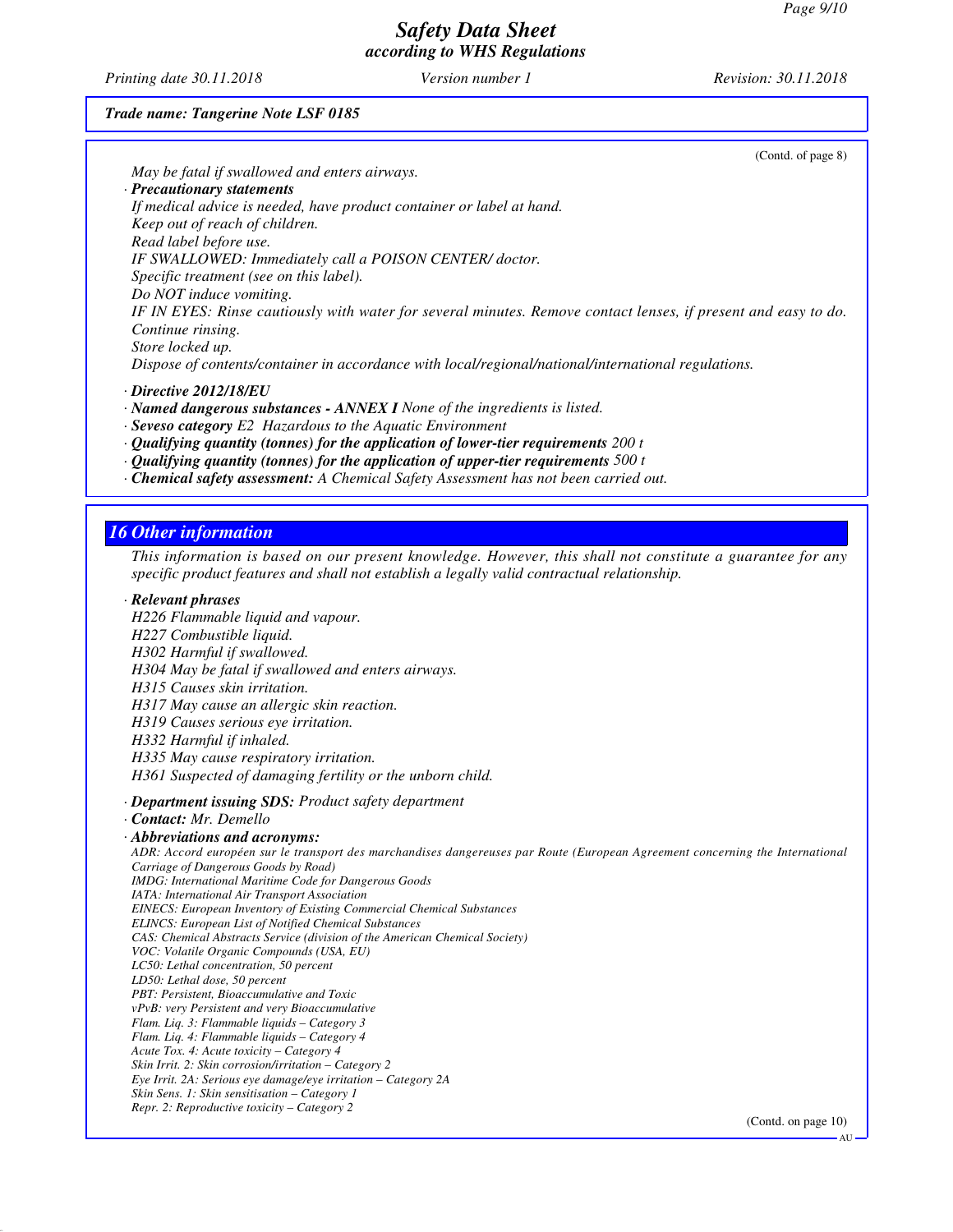*Printing date 30.11.2018 Version number 1 Revision: 30.11.2018*

(Contd. of page 8)

*Trade name: Tangerine Note LSF 0185*

| May be fatal if swallowed and enters airways.                                                                                                                         |                     |
|-----------------------------------------------------------------------------------------------------------------------------------------------------------------------|---------------------|
| · Precautionary statements                                                                                                                                            |                     |
| If medical advice is needed, have product container or label at hand.                                                                                                 |                     |
| Keep out of reach of children.<br>Read label before use.                                                                                                              |                     |
|                                                                                                                                                                       |                     |
| IF SWALLOWED: Immediately call a POISON CENTER/ doctor.                                                                                                               |                     |
| Specific treatment (see on this label).                                                                                                                               |                     |
| Do NOT induce vomiting.                                                                                                                                               |                     |
| IF IN EYES: Rinse cautiously with water for several minutes. Remove contact lenses, if present and easy to do.                                                        |                     |
| Continue rinsing.                                                                                                                                                     |                     |
| Store locked up.                                                                                                                                                      |                     |
| Dispose of contents/container in accordance with local/regional/national/international regulations.                                                                   |                     |
| $\cdot$ Directive 2012/18/EU                                                                                                                                          |                     |
| · Named dangerous substances - ANNEX I None of the ingredients is listed.                                                                                             |                     |
| $\cdot$ Seveso category E2 Hazardous to the Aquatic Environment                                                                                                       |                     |
| $\cdot$ Qualifying quantity (tonnes) for the application of lower-tier requirements 200 t                                                                             |                     |
| $\cdot$ Qualifying quantity (tonnes) for the application of upper-tier requirements 500 t                                                                             |                     |
| · Chemical safety assessment: A Chemical Safety Assessment has not been carried out.                                                                                  |                     |
|                                                                                                                                                                       |                     |
|                                                                                                                                                                       |                     |
| <b>16 Other information</b>                                                                                                                                           |                     |
| This information is based on our present knowledge. However, this shall not constitute a guarantee for any                                                            |                     |
| specific product features and shall not establish a legally valid contractual relationship.                                                                           |                     |
|                                                                                                                                                                       |                     |
| · Relevant phrases                                                                                                                                                    |                     |
| H226 Flammable liquid and vapour.                                                                                                                                     |                     |
| H227 Combustible liquid.                                                                                                                                              |                     |
| H302 Harmful if swallowed.                                                                                                                                            |                     |
| H304 May be fatal if swallowed and enters airways.                                                                                                                    |                     |
| H315 Causes skin irritation.                                                                                                                                          |                     |
| H317 May cause an allergic skin reaction.                                                                                                                             |                     |
| H319 Causes serious eye irritation.                                                                                                                                   |                     |
| H332 Harmful if inhaled.                                                                                                                                              |                     |
| H335 May cause respiratory irritation.                                                                                                                                |                     |
| H361 Suspected of damaging fertility or the unborn child.                                                                                                             |                     |
|                                                                                                                                                                       |                     |
| · Department issuing SDS: Product safety department                                                                                                                   |                     |
| · Contact: Mr. Demello                                                                                                                                                |                     |
| · Abbreviations and acronyms:                                                                                                                                         |                     |
| ADR: Accord européen sur le transport des marchandises dangereuses par Route (European Agreement concerning the International<br>Carriage of Dangerous Goods by Road) |                     |
| <b>IMDG</b> : International Maritime Code for Dangerous Goods                                                                                                         |                     |
| IATA: International Air Transport Association                                                                                                                         |                     |
| EINECS: European Inventory of Existing Commercial Chemical Substances                                                                                                 |                     |
| <b>ELINCS: European List of Notified Chemical Substances</b><br>CAS: Chemical Abstracts Service (division of the American Chemical Society)                           |                     |
| VOC: Volatile Organic Compounds (USA, EU)                                                                                                                             |                     |
| LC50: Lethal concentration, 50 percent                                                                                                                                |                     |
| LD50: Lethal dose, 50 percent                                                                                                                                         |                     |
| PBT: Persistent, Bioaccumulative and Toxic                                                                                                                            |                     |
| vPvB: very Persistent and very Bioaccumulative<br>Flam. Liq. 3: Flammable liquids - Category 3                                                                        |                     |
| Flam. Lig. 4: Flammable liquids - Category 4                                                                                                                          |                     |
| Acute Tox. 4: Acute toxicity - Category 4                                                                                                                             |                     |
| Skin Irrit. 2: Skin corrosion/irritation - Category 2                                                                                                                 |                     |
| Eye Irrit. 2A: Serious eye damage/eye irritation - Category 2A                                                                                                        |                     |
| Skin Sens. 1: Skin sensitisation - Category 1<br>Repr. 2: Reproductive toxicity - Category 2                                                                          |                     |
|                                                                                                                                                                       |                     |
|                                                                                                                                                                       | (Contd. on page 10) |